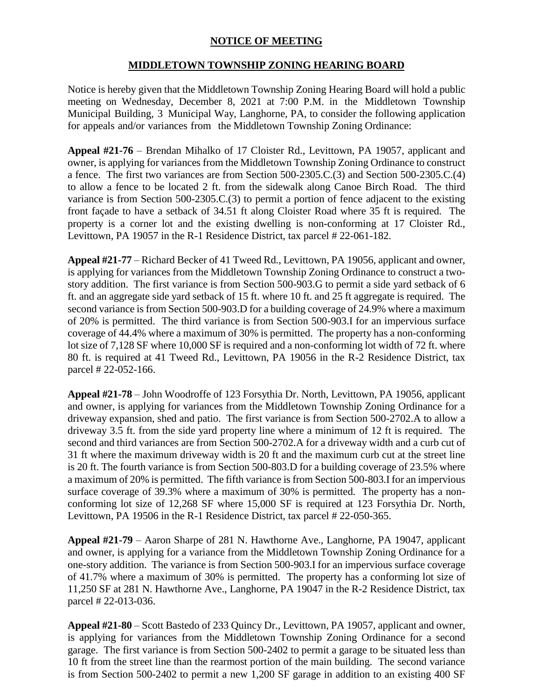## **NOTICE OF MEETING**

## **MIDDLETOWN TOWNSHIP ZONING HEARING BOARD**

Notice is hereby given that the Middletown Township Zoning Hearing Board will hold a public meeting on Wednesday, December 8, 2021 at 7:00 P.M. in the Middletown Township Municipal Building, 3 Municipal Way, Langhorne, PA, to consider the following application for appeals and/or variances from the Middletown Township Zoning Ordinance:

**Appeal #21-76** – Brendan Mihalko of 17 Cloister Rd., Levittown, PA 19057, applicant and owner, is applying for variances from the Middletown Township Zoning Ordinance to construct a fence. The first two variances are from Section 500-2305.C.(3) and Section 500-2305.C.(4) to allow a fence to be located 2 ft. from the sidewalk along Canoe Birch Road. The third variance is from Section 500-2305.C.(3) to permit a portion of fence adjacent to the existing front façade to have a setback of 34.51 ft along Cloister Road where 35 ft is required. The property is a corner lot and the existing dwelling is non-conforming at 17 Cloister Rd., Levittown, PA 19057 in the R-1 Residence District, tax parcel # 22-061-182.

**Appeal #21-77** – Richard Becker of 41 Tweed Rd., Levittown, PA 19056, applicant and owner, is applying for variances from the Middletown Township Zoning Ordinance to construct a twostory addition. The first variance is from Section 500-903.G to permit a side yard setback of 6 ft. and an aggregate side yard setback of 15 ft. where 10 ft. and 25 ft aggregate is required. The second variance is from Section 500-903.D for a building coverage of 24.9% where a maximum of 20% is permitted. The third variance is from Section 500-903.I for an impervious surface coverage of 44.4% where a maximum of 30% is permitted. The property has a non-conforming lot size of 7,128 SF where 10,000 SF is required and a non-conforming lot width of 72 ft. where 80 ft. is required at 41 Tweed Rd., Levittown, PA 19056 in the R-2 Residence District, tax parcel # 22-052-166.

**Appeal #21-78** – John Woodroffe of 123 Forsythia Dr. North, Levittown, PA 19056, applicant and owner, is applying for variances from the Middletown Township Zoning Ordinance for a driveway expansion, shed and patio. The first variance is from Section 500-2702.A to allow a driveway 3.5 ft. from the side yard property line where a minimum of 12 ft is required. The second and third variances are from Section 500-2702.A for a driveway width and a curb cut of 31 ft where the maximum driveway width is 20 ft and the maximum curb cut at the street line is 20 ft. The fourth variance is from Section 500-803.D for a building coverage of 23.5% where a maximum of 20% is permitted. The fifth variance is from Section 500-803.I for an impervious surface coverage of 39.3% where a maximum of 30% is permitted. The property has a nonconforming lot size of 12,268 SF where 15,000 SF is required at 123 Forsythia Dr. North, Levittown, PA 19506 in the R-1 Residence District, tax parcel # 22-050-365.

**Appeal #21-79** – Aaron Sharpe of 281 N. Hawthorne Ave., Langhorne, PA 19047, applicant and owner, is applying for a variance from the Middletown Township Zoning Ordinance for a one-story addition. The variance is from Section 500-903.I for an impervious surface coverage of 41.7% where a maximum of 30% is permitted. The property has a conforming lot size of 11,250 SF at 281 N. Hawthorne Ave., Langhorne, PA 19047 in the R-2 Residence District, tax parcel # 22-013-036.

**Appeal #21-80** – Scott Bastedo of 233 Quincy Dr., Levittown, PA 19057, applicant and owner, is applying for variances from the Middletown Township Zoning Ordinance for a second garage. The first variance is from Section 500-2402 to permit a garage to be situated less than 10 ft from the street line than the rearmost portion of the main building. The second variance is from Section 500-2402 to permit a new 1,200 SF garage in addition to an existing 400 SF